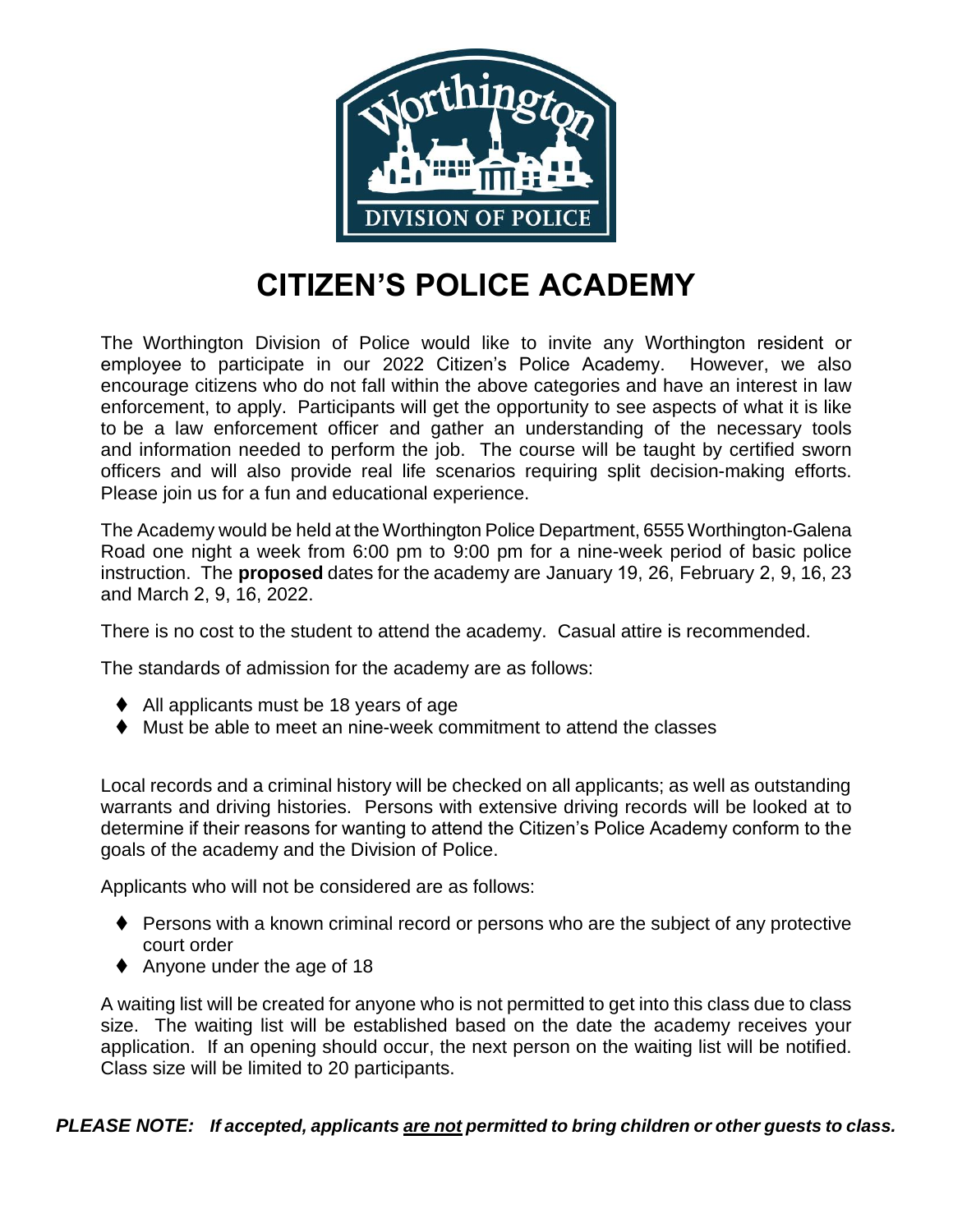

## **CITIZEN'S POLICE ACADEMY**

The Worthington Division of Police would like to invite any Worthington resident or employee to participate in our 2022 Citizen's Police Academy. However, we also encourage citizens who do not fall within the above categories and have an interest in law enforcement, to apply. Participants will get the opportunity to see aspects of what it is like to be a law enforcement officer and gather an understanding of the necessary tools and information needed to perform the job. The course will be taught by certified sworn officers and will also provide real life scenarios requiring split decision-making efforts. Please join us for a fun and educational experience.

The Academy would be held at the Worthington Police Department, 6555 Worthington-Galena Road one night a week from 6:00 pm to 9:00 pm for a nine-week period of basic police instruction. The **proposed** dates for the academy are January 19, 26, February 2, 9, 16, 23 and March 2, 9, 16, 2022.

There is no cost to the student to attend the academy. Casual attire is recommended.

The standards of admission for the academy are as follows:

- ♦ All applicants must be 18 years of age
- ⧫ Must be able to meet an nine-week commitment to attend the classes

Local records and a criminal history will be checked on all applicants; as well as outstanding warrants and driving histories. Persons with extensive driving records will be looked at to determine if their reasons for wanting to attend the Citizen's Police Academy conform to the goals of the academy and the Division of Police.

Applicants who will not be considered are as follows:

- ◆ Persons with a known criminal record or persons who are the subject of any protective court order
- ♦ Anyone under the age of 18

A waiting list will be created for anyone who is not permitted to get into this class due to class size. The waiting list will be established based on the date the academy receives your application. If an opening should occur, the next person on the waiting list will be notified. Class size will be limited to 20 participants.

## *PLEASE NOTE: If accepted, applicants are not permitted to bring children or other guests to class.*